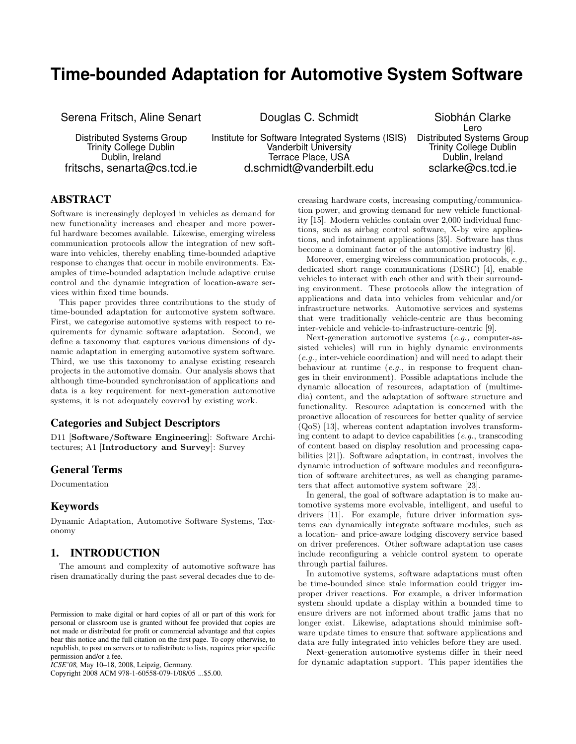# **Time-bounded Adaptation for Automotive System Software**

Serena Fritsch, Aline Senart **Douglas C. Schmidt** Siobhán Clarke

Trinity College Dublin

Distributed Systems Group Institute for Software Integrated Systems (ISIS) Distributed Systems Group Dublin, Ireland Terrace Place, USA Dublin, Ireland fritschs, senarta@cs.tcd.ie d.schmidt@vanderbilt.edu sclarke@cs.tcd.ie

Lero<br>Distributed Systems Group

# **ABSTRACT**

Software is increasingly deployed in vehicles as demand for new functionality increases and cheaper and more powerful hardware becomes available. Likewise, emerging wireless communication protocols allow the integration of new software into vehicles, thereby enabling time-bounded adaptive response to changes that occur in mobile environments. Examples of time-bounded adaptation include adaptive cruise control and the dynamic integration of location-aware services within fixed time bounds.

This paper provides three contributions to the study of time-bounded adaptation for automotive system software. First, we categorise automotive systems with respect to requirements for dynamic software adaptation. Second, we define a taxonomy that captures various dimensions of dynamic adaptation in emerging automotive system software. Third, we use this taxonomy to analyse existing research projects in the automotive domain. Our analysis shows that although time-bounded synchronisation of applications and data is a key requirement for next-generation automotive systems, it is not adequately covered by existing work.

# **Categories and Subject Descriptors**

D11 [Software/Software Engineering]: Software Architectures; A1 [Introductory and Survey]: Survey

# **General Terms**

Documentation

# **Keywords**

Dynamic Adaptation, Automotive Software Systems, Taxonomy

# **1. INTRODUCTION**

The amount and complexity of automotive software has risen dramatically during the past several decades due to de-

Copyright 2008 ACM 978-1-60558-079-1/08/05 ...\$5.00.

creasing hardware costs, increasing computing/communication power, and growing demand for new vehicle functionality [15]. Modern vehicles contain over 2,000 individual functions, such as airbag control software, X-by wire applications, and infotainment applications [35]. Software has thus become a dominant factor of the automotive industry [6].

Moreover, emerging wireless communication protocols, e.g., dedicated short range communications (DSRC) [4], enable vehicles to interact with each other and with their surrounding environment. These protocols allow the integration of applications and data into vehicles from vehicular and/or infrastructure networks. Automotive services and systems that were traditionally vehicle-centric are thus becoming inter-vehicle and vehicle-to-infrastructure-centric [9].

Next-generation automotive systems (e.g., computer-assisted vehicles) will run in highly dynamic environments (e.g., inter-vehicle coordination) and will need to adapt their behaviour at runtime  $(e.g.,$  in response to frequent changes in their environment). Possible adaptations include the dynamic allocation of resources, adaptation of (multimedia) content, and the adaptation of software structure and functionality. Resource adaptation is concerned with the proactive allocation of resources for better quality of service (QoS) [13], whereas content adaptation involves transforming content to adapt to device capabilities  $(e.g., transcoding)$ of content based on display resolution and processing capabilities [21]). Software adaptation, in contrast, involves the dynamic introduction of software modules and reconfiguration of software architectures, as well as changing parameters that affect automotive system software [23].

In general, the goal of software adaptation is to make automotive systems more evolvable, intelligent, and useful to drivers [11]. For example, future driver information systems can dynamically integrate software modules, such as a location- and price-aware lodging discovery service based on driver preferences. Other software adaptation use cases include reconfiguring a vehicle control system to operate through partial failures.

In automotive systems, software adaptations must often be time-bounded since stale information could trigger improper driver reactions. For example, a driver information system should update a display within a bounded time to ensure drivers are not informed about traffic jams that no longer exist. Likewise, adaptations should minimise software update times to ensure that software applications and data are fully integrated into vehicles before they are used.

Next-generation automotive systems differ in their need for dynamic adaptation support. This paper identifies the

Permission to make digital or hard copies of all or part of this work for personal or classroom use is granted without fee provided that copies are not made or distributed for profit or commercial advantage and that copies bear this notice and the full citation on the first page. To copy otherwise, to republish, to post on servers or to redistribute to lists, requires prior specific permission and/or a fee.

*ICSE'08,* May 10–18, 2008, Leipzig, Germany.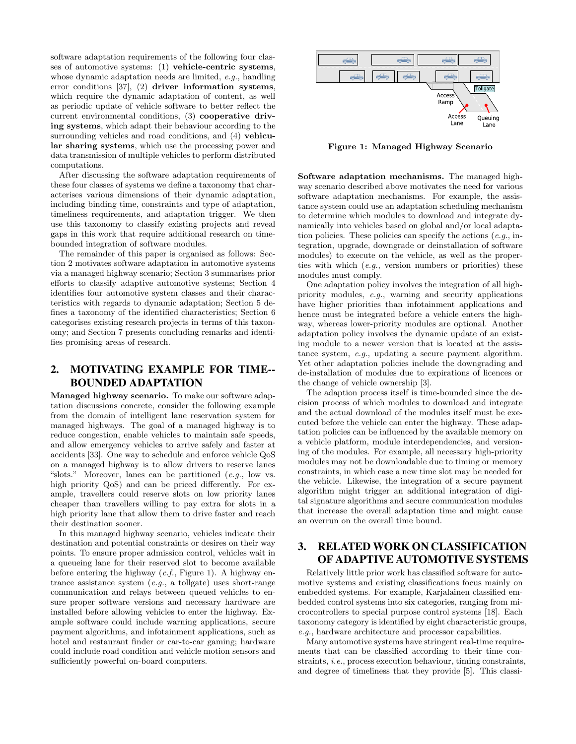software adaptation requirements of the following four classes of automotive systems: (1) vehicle-centric systems, whose dynamic adaptation needs are limited, e.g., handling error conditions [37], (2) driver information systems, which require the dynamic adaptation of content, as well as periodic update of vehicle software to better reflect the current environmental conditions, (3) cooperative driving systems, which adapt their behaviour according to the surrounding vehicles and road conditions, and (4) vehicular sharing systems, which use the processing power and data transmission of multiple vehicles to perform distributed computations.

After discussing the software adaptation requirements of these four classes of systems we define a taxonomy that characterises various dimensions of their dynamic adaptation, including binding time, constraints and type of adaptation, timeliness requirements, and adaptation trigger. We then use this taxonomy to classify existing projects and reveal gaps in this work that require additional research on timebounded integration of software modules.

The remainder of this paper is organised as follows: Section 2 motivates software adaptation in automotive systems via a managed highway scenario; Section 3 summarises prior efforts to classify adaptive automotive systems; Section 4 identifies four automotive system classes and their characteristics with regards to dynamic adaptation; Section 5 defines a taxonomy of the identified characteristics; Section 6 categorises existing research projects in terms of this taxonomy; and Section 7 presents concluding remarks and identifies promising areas of research.

# **2. MOTIVATING EXAMPLE FOR TIME-- BOUNDED ADAPTATION**

Managed highway scenario. To make our software adaptation discussions concrete, consider the following example from the domain of intelligent lane reservation system for managed highways. The goal of a managed highway is to reduce congestion, enable vehicles to maintain safe speeds, and allow emergency vehicles to arrive safely and faster at accidents [33]. One way to schedule and enforce vehicle QoS on a managed highway is to allow drivers to reserve lanes "slots." Moreover, lanes can be partitioned  $(e.g.,)$  low vs. high priority  $QoS$ ) and can be priced differently. For example, travellers could reserve slots on low priority lanes cheaper than travellers willing to pay extra for slots in a high priority lane that allow them to drive faster and reach their destination sooner.

In this managed highway scenario, vehicles indicate their destination and potential constraints or desires on their way points. To ensure proper admission control, vehicles wait in a queueing lane for their reserved slot to become available before entering the highway  $(c.f., Figure 1)$ . A highway entrance assistance system (e.g., a tollgate) uses short-range communication and relays between queued vehicles to ensure proper software versions and necessary hardware are installed before allowing vehicles to enter the highway. Example software could include warning applications, secure payment algorithms, and infotainment applications, such as hotel and restaurant finder or car-to-car gaming; hardware could include road condition and vehicle motion sensors and sufficiently powerful on-board computers.



Figure 1: Managed Highway Scenario

Software adaptation mechanisms. The managed highway scenario described above motivates the need for various software adaptation mechanisms. For example, the assistance system could use an adaptation scheduling mechanism to determine which modules to download and integrate dynamically into vehicles based on global and/or local adaptation policies. These policies can specify the actions  $(e.g., in-)$ tegration, upgrade, downgrade or deinstallation of software modules) to execute on the vehicle, as well as the properties with which (e.g., version numbers or priorities) these modules must comply.

One adaptation policy involves the integration of all highpriority modules, e.g., warning and security applications have higher priorities than infotainment applications and hence must be integrated before a vehicle enters the highway, whereas lower-priority modules are optional. Another adaptation policy involves the dynamic update of an existing module to a newer version that is located at the assistance system, e.g., updating a secure payment algorithm. Yet other adaptation policies include the downgrading and de-installation of modules due to expirations of licences or the change of vehicle ownership [3].

The adaption process itself is time-bounded since the decision process of which modules to download and integrate and the actual download of the modules itself must be executed before the vehicle can enter the highway. These adaptation policies can be influenced by the available memory on a vehicle platform, module interdependencies, and versioning of the modules. For example, all necessary high-priority modules may not be downloadable due to timing or memory constraints, in which case a new time slot may be needed for the vehicle. Likewise, the integration of a secure payment algorithm might trigger an additional integration of digital signature algorithms and secure communication modules that increase the overall adaptation time and might cause an overrun on the overall time bound.

# **3. RELATED WORK ON CLASSIFICATION OF ADAPTIVE AUTOMOTIVE SYSTEMS**

Relatively little prior work has classified software for automotive systems and existing classifications focus mainly on embedded systems. For example, Karjalainen classified embedded control systems into six categories, ranging from microcontrollers to special purpose control systems [18]. Each taxonomy category is identified by eight characteristic groups, e.g., hardware architecture and processor capabilities.

Many automotive systems have stringent real-time requirements that can be classified according to their time constraints, i.e., process execution behaviour, timing constraints, and degree of timeliness that they provide [5]. This classi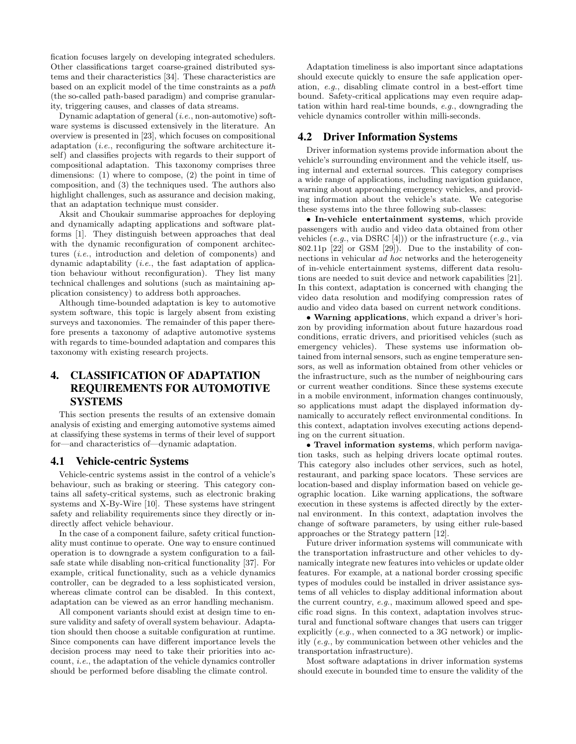fication focuses largely on developing integrated schedulers. Other classifications target coarse-grained distributed systems and their characteristics [34]. These characteristics are based on an explicit model of the time constraints as a path (the so-called path-based paradigm) and comprise granularity, triggering causes, and classes of data streams.

Dynamic adaptation of general  $(i.e.,$  non-automotive) software systems is discussed extensively in the literature. An overview is presented in [23], which focuses on compositional adaptation (i.e., reconfiguring the software architecture itself) and classifies projects with regards to their support of compositional adaptation. This taxonomy comprises three dimensions: (1) where to compose, (2) the point in time of composition, and (3) the techniques used. The authors also highlight challenges, such as assurance and decision making, that an adaptation technique must consider.

Aksit and Choukair summarise approaches for deploying and dynamically adapting applications and software platforms [1]. They distinguish between approaches that deal with the dynamic reconfiguration of component architectures (i.e., introduction and deletion of components) and dynamic adaptability (i.e., the fast adaptation of application behaviour without reconfiguration). They list many technical challenges and solutions (such as maintaining application consistency) to address both approaches.

Although time-bounded adaptation is key to automotive system software, this topic is largely absent from existing surveys and taxonomies. The remainder of this paper therefore presents a taxonomy of adaptive automotive systems with regards to time-bounded adaptation and compares this taxonomy with existing research projects.

# **4. CLASSIFICATION OF ADAPTATION REQUIREMENTS FOR AUTOMOTIVE SYSTEMS**

This section presents the results of an extensive domain analysis of existing and emerging automotive systems aimed at classifying these systems in terms of their level of support for—and characteristics of—dynamic adaptation.

#### **4.1 Vehicle-centric Systems**

Vehicle-centric systems assist in the control of a vehicle's behaviour, such as braking or steering. This category contains all safety-critical systems, such as electronic braking systems and X-By-Wire [10]. These systems have stringent safety and reliability requirements since they directly or indirectly affect vehicle behaviour.

In the case of a component failure, safety critical functionality must continue to operate. One way to ensure continued operation is to downgrade a system configuration to a failsafe state while disabling non-critical functionality [37]. For example, critical functionality, such as a vehicle dynamics controller, can be degraded to a less sophisticated version, whereas climate control can be disabled. In this context, adaptation can be viewed as an error handling mechanism.

All component variants should exist at design time to ensure validity and safety of overall system behaviour. Adaptation should then choose a suitable configuration at runtime. Since components can have different importance levels the decision process may need to take their priorities into account, i.e., the adaptation of the vehicle dynamics controller should be performed before disabling the climate control.

Adaptation timeliness is also important since adaptations should execute quickly to ensure the safe application operation, e.g., disabling climate control in a best-effort time bound. Safety-critical applications may even require adaptation within hard real-time bounds, e.g., downgrading the vehicle dynamics controller within milli-seconds.

#### **4.2 Driver Information Systems**

Driver information systems provide information about the vehicle's surrounding environment and the vehicle itself, using internal and external sources. This category comprises a wide range of applications, including navigation guidance, warning about approaching emergency vehicles, and providing information about the vehicle's state. We categorise these systems into the three following sub-classes:

• In-vehicle entertainment systems, which provide passengers with audio and video data obtained from other vehicles  $(e.g., via DSRC [4])$  or the infrastructure  $(e.g., via$ 802.11p [22] or GSM [29]). Due to the instability of connections in vehicular ad hoc networks and the heterogeneity of in-vehicle entertainment systems, different data resolutions are needed to suit device and network capabilities [21]. In this context, adaptation is concerned with changing the video data resolution and modifying compression rates of audio and video data based on current network conditions.

• Warning applications, which expand a driver's horizon by providing information about future hazardous road conditions, erratic drivers, and prioritised vehicles (such as emergency vehicles). These systems use information obtained from internal sensors, such as engine temperature sensors, as well as information obtained from other vehicles or the infrastructure, such as the number of neighbouring cars or current weather conditions. Since these systems execute in a mobile environment, information changes continuously, so applications must adapt the displayed information dynamically to accurately reflect environmental conditions. In this context, adaptation involves executing actions depending on the current situation.

• Travel information systems, which perform navigation tasks, such as helping drivers locate optimal routes. This category also includes other services, such as hotel, restaurant, and parking space locators. These services are location-based and display information based on vehicle geographic location. Like warning applications, the software execution in these systems is affected directly by the external environment. In this context, adaptation involves the change of software parameters, by using either rule-based approaches or the Strategy pattern [12].

Future driver information systems will communicate with the transportation infrastructure and other vehicles to dynamically integrate new features into vehicles or update older features. For example, at a national border crossing specific types of modules could be installed in driver assistance systems of all vehicles to display additional information about the current country, e.g., maximum allowed speed and specific road signs. In this context, adaptation involves structural and functional software changes that users can trigger explicitly (e.g., when connected to a 3G network) or implicitly (e.g., by communication between other vehicles and the transportation infrastructure).

Most software adaptations in driver information systems should execute in bounded time to ensure the validity of the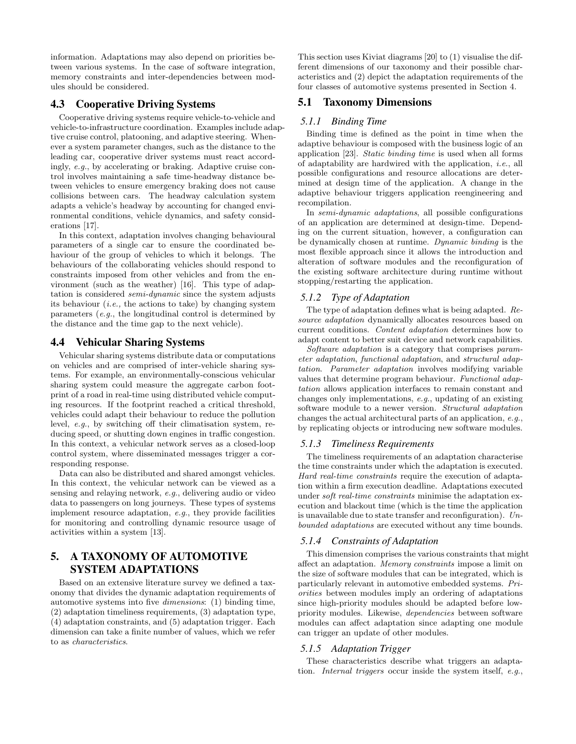information. Adaptations may also depend on priorities between various systems. In the case of software integration, memory constraints and inter-dependencies between modules should be considered.

## **4.3 Cooperative Driving Systems**

Cooperative driving systems require vehicle-to-vehicle and vehicle-to-infrastructure coordination. Examples include adaptive cruise control, platooning, and adaptive steering. Whenever a system parameter changes, such as the distance to the leading car, cooperative driver systems must react accordingly, e.g., by accelerating or braking. Adaptive cruise control involves maintaining a safe time-headway distance between vehicles to ensure emergency braking does not cause collisions between cars. The headway calculation system adapts a vehicle's headway by accounting for changed environmental conditions, vehicle dynamics, and safety considerations [17].

In this context, adaptation involves changing behavioural parameters of a single car to ensure the coordinated behaviour of the group of vehicles to which it belongs. The behaviours of the collaborating vehicles should respond to constraints imposed from other vehicles and from the environment (such as the weather) [16]. This type of adaptation is considered semi-dynamic since the system adjusts its behaviour  $(i.e.,$  the actions to take) by changing system parameters (e.g., the longitudinal control is determined by the distance and the time gap to the next vehicle).

# **4.4 Vehicular Sharing Systems**

Vehicular sharing systems distribute data or computations on vehicles and are comprised of inter-vehicle sharing systems. For example, an environmentally-conscious vehicular sharing system could measure the aggregate carbon footprint of a road in real-time using distributed vehicle computing resources. If the footprint reached a critical threshold, vehicles could adapt their behaviour to reduce the pollution level, e.g., by switching off their climatisation system, reducing speed, or shutting down engines in traffic congestion. In this context, a vehicular network serves as a closed-loop control system, where disseminated messages trigger a corresponding response.

Data can also be distributed and shared amongst vehicles. In this context, the vehicular network can be viewed as a sensing and relaying network, e.g., delivering audio or video data to passengers on long journeys. These types of systems implement resource adaptation, e.g., they provide facilities for monitoring and controlling dynamic resource usage of activities within a system [13].

# **5. A TAXONOMY OF AUTOMOTIVE SYSTEM ADAPTATIONS**

Based on an extensive literature survey we defined a taxonomy that divides the dynamic adaptation requirements of automotive systems into five dimensions: (1) binding time, (2) adaptation timeliness requirements, (3) adaptation type, (4) adaptation constraints, and (5) adaptation trigger. Each dimension can take a finite number of values, which we refer to as characteristics.

This section uses Kiviat diagrams [20] to (1) visualise the different dimensions of our taxonomy and their possible characteristics and (2) depict the adaptation requirements of the four classes of automotive systems presented in Section 4.

## **5.1 Taxonomy Dimensions**

#### *5.1.1 Binding Time*

Binding time is defined as the point in time when the adaptive behaviour is composed with the business logic of an application [23]. Static binding time is used when all forms of adaptability are hardwired with the application, i.e., all possible configurations and resource allocations are determined at design time of the application. A change in the adaptive behaviour triggers application reengineering and recompilation.

In semi-dynamic adaptations, all possible configurations of an application are determined at design-time. Depending on the current situation, however, a configuration can be dynamically chosen at runtime. Dynamic binding is the most flexible approach since it allows the introduction and alteration of software modules and the reconfiguration of the existing software architecture during runtime without stopping/restarting the application.

#### *5.1.2 Type of Adaptation*

The type of adaptation defines what is being adapted. Resource adaptation dynamically allocates resources based on current conditions. Content adaptation determines how to adapt content to better suit device and network capabilities.

Software adaptation is a category that comprises parameter adaptation, functional adaptation, and structural adaptation. Parameter adaptation involves modifying variable values that determine program behaviour. Functional adaptation allows application interfaces to remain constant and changes only implementations, e.g., updating of an existing software module to a newer version. Structural adaptation changes the actual architectural parts of an application, e.g., by replicating objects or introducing new software modules.

#### *5.1.3 Timeliness Requirements*

The timeliness requirements of an adaptation characterise the time constraints under which the adaptation is executed. Hard real-time constraints require the execution of adaptation within a firm execution deadline. Adaptations executed under soft real-time constraints minimise the adaptation execution and blackout time (which is the time the application is unavailable due to state transfer and reconfiguration).  $Un$ bounded adaptations are executed without any time bounds.

## *5.1.4 Constraints of Adaptation*

This dimension comprises the various constraints that might affect an adaptation. Memory constraints impose a limit on the size of software modules that can be integrated, which is particularly relevant in automotive embedded systems. Priorities between modules imply an ordering of adaptations since high-priority modules should be adapted before lowpriority modules. Likewise, dependencies between software modules can affect adaptation since adapting one module can trigger an update of other modules.

#### *5.1.5 Adaptation Trigger*

These characteristics describe what triggers an adaptation. Internal triggers occur inside the system itself, e.g.,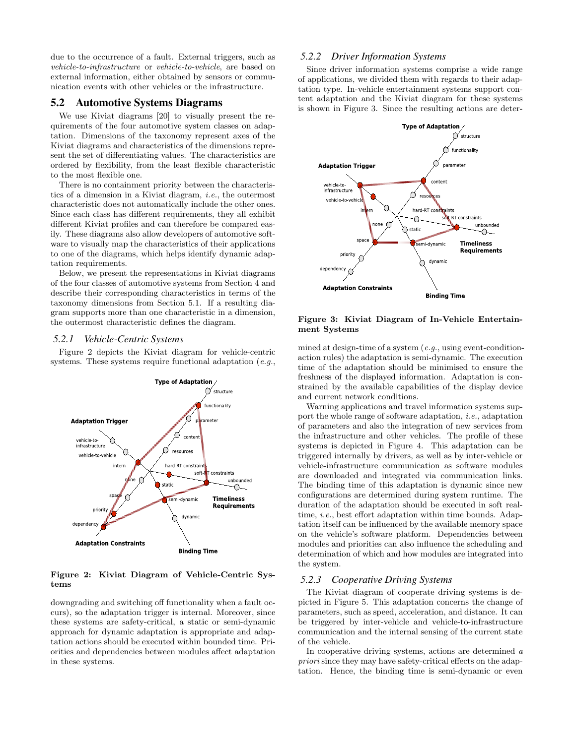due to the occurrence of a fault. External triggers, such as vehicle-to-infrastructure or vehicle-to-vehicle, are based on external information, either obtained by sensors or communication events with other vehicles or the infrastructure.

## **5.2 Automotive Systems Diagrams**

We use Kiviat diagrams [20] to visually present the requirements of the four automotive system classes on adaptation. Dimensions of the taxonomy represent axes of the Kiviat diagrams and characteristics of the dimensions represent the set of differentiating values. The characteristics are ordered by flexibility, from the least flexible characteristic to the most flexible one.

There is no containment priority between the characteristics of a dimension in a Kiviat diagram, i.e., the outermost characteristic does not automatically include the other ones. Since each class has different requirements, they all exhibit different Kiviat profiles and can therefore be compared easily. These diagrams also allow developers of automotive software to visually map the characteristics of their applications to one of the diagrams, which helps identify dynamic adaptation requirements.

Below, we present the representations in Kiviat diagrams of the four classes of automotive systems from Section 4 and describe their corresponding characteristics in terms of the taxonomy dimensions from Section 5.1. If a resulting diagram supports more than one characteristic in a dimension, the outermost characteristic defines the diagram.

#### *5.2.1 Vehicle-Centric Systems*

Figure 2 depicts the Kiviat diagram for vehicle-centric systems. These systems require functional adaptation  $(e.g.,$ 



Figure 2: Kiviat Diagram of Vehicle-Centric Systems

downgrading and switching off functionality when a fault occurs), so the adaptation trigger is internal. Moreover, since these systems are safety-critical, a static or semi-dynamic approach for dynamic adaptation is appropriate and adaptation actions should be executed within bounded time. Priorities and dependencies between modules affect adaptation in these systems.

#### *5.2.2 Driver Information Systems*

Since driver information systems comprise a wide range of applications, we divided them with regards to their adaptation type. In-vehicle entertainment systems support content adaptation and the Kiviat diagram for these systems is shown in Figure 3. Since the resulting actions are deter-



Figure 3: Kiviat Diagram of In-Vehicle Entertainment Systems

mined at design-time of a system  $(e.g.,$  using event-conditionaction rules) the adaptation is semi-dynamic. The execution time of the adaptation should be minimised to ensure the freshness of the displayed information. Adaptation is constrained by the available capabilities of the display device and current network conditions.

Warning applications and travel information systems support the whole range of software adaptation, i.e., adaptation of parameters and also the integration of new services from the infrastructure and other vehicles. The profile of these systems is depicted in Figure 4. This adaptation can be triggered internally by drivers, as well as by inter-vehicle or vehicle-infrastructure communication as software modules are downloaded and integrated via communication links. The binding time of this adaptation is dynamic since new configurations are determined during system runtime. The duration of the adaptation should be executed in soft realtime, *i.e.*, best effort adaptation within time bounds. Adaptation itself can be influenced by the available memory space on the vehicle's software platform. Dependencies between modules and priorities can also influence the scheduling and determination of which and how modules are integrated into the system.

#### *5.2.3 Cooperative Driving Systems*

The Kiviat diagram of cooperate driving systems is depicted in Figure 5. This adaptation concerns the change of parameters, such as speed, acceleration, and distance. It can be triggered by inter-vehicle and vehicle-to-infrastructure communication and the internal sensing of the current state of the vehicle.

In cooperative driving systems, actions are determined a priori since they may have safety-critical effects on the adaptation. Hence, the binding time is semi-dynamic or even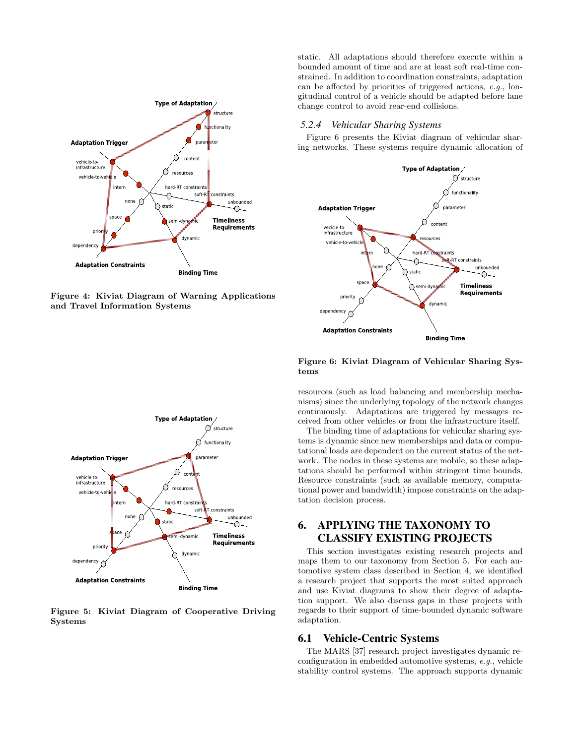

Figure 4: Kiviat Diagram of Warning Applications and Travel Information Systems



Figure 5: Kiviat Diagram of Cooperative Driving Systems

static. All adaptations should therefore execute within a bounded amount of time and are at least soft real-time constrained. In addition to coordination constraints, adaptation can be affected by priorities of triggered actions, e.g., longitudinal control of a vehicle should be adapted before lane change control to avoid rear-end collisions.

#### *5.2.4 Vehicular Sharing Systems*

Figure 6 presents the Kiviat diagram of vehicular sharing networks. These systems require dynamic allocation of



Figure 6: Kiviat Diagram of Vehicular Sharing Systems

resources (such as load balancing and membership mechanisms) since the underlying topology of the network changes continuously. Adaptations are triggered by messages received from other vehicles or from the infrastructure itself.

The binding time of adaptations for vehicular sharing systems is dynamic since new memberships and data or computational loads are dependent on the current status of the network. The nodes in these systems are mobile, so these adaptations should be performed within stringent time bounds. Resource constraints (such as available memory, computational power and bandwidth) impose constraints on the adaptation decision process.

# **6. APPLYING THE TAXONOMY TO CLASSIFY EXISTING PROJECTS**

This section investigates existing research projects and maps them to our taxonomy from Section 5. For each automotive system class described in Section 4, we identified a research project that supports the most suited approach and use Kiviat diagrams to show their degree of adaptation support. We also discuss gaps in these projects with regards to their support of time-bounded dynamic software adaptation.

#### **6.1 Vehicle-Centric Systems**

The MARS [37] research project investigates dynamic reconfiguration in embedded automotive systems, e.g., vehicle stability control systems. The approach supports dynamic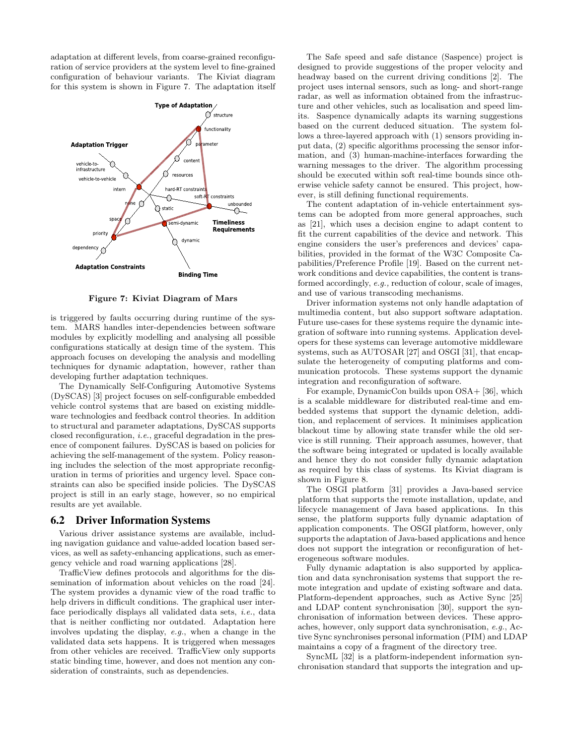adaptation at different levels, from coarse-grained reconfiguration of service providers at the system level to fine-grained configuration of behaviour variants. The Kiviat diagram for this system is shown in Figure 7. The adaptation itself



Figure 7: Kiviat Diagram of Mars

is triggered by faults occurring during runtime of the system. MARS handles inter-dependencies between software modules by explicitly modelling and analysing all possible configurations statically at design time of the system. This approach focuses on developing the analysis and modelling techniques for dynamic adaptation, however, rather than developing further adaptation techniques.

The Dynamically Self-Configuring Automotive Systems (DySCAS) [3] project focuses on self-configurable embedded vehicle control systems that are based on existing middleware technologies and feedback control theories. In addition to structural and parameter adaptations, DySCAS supports closed reconfiguration, i.e., graceful degradation in the presence of component failures. DySCAS is based on policies for achieving the self-management of the system. Policy reasoning includes the selection of the most appropriate reconfiguration in terms of priorities and urgency level. Space constraints can also be specified inside policies. The DySCAS project is still in an early stage, however, so no empirical results are yet available.

#### **6.2 Driver Information Systems**

Various driver assistance systems are available, including navigation guidance and value-added location based services, as well as safety-enhancing applications, such as emergency vehicle and road warning applications [28].

TrafficView defines protocols and algorithms for the dissemination of information about vehicles on the road [24]. The system provides a dynamic view of the road traffic to help drivers in difficult conditions. The graphical user interface periodically displays all validated data sets, i.e., data that is neither conflicting nor outdated. Adaptation here involves updating the display, e.g., when a change in the validated data sets happens. It is triggered when messages from other vehicles are received. TrafficView only supports static binding time, however, and does not mention any consideration of constraints, such as dependencies.

The Safe speed and safe distance (Saspence) project is designed to provide suggestions of the proper velocity and headway based on the current driving conditions [2]. The project uses internal sensors, such as long- and short-range radar, as well as information obtained from the infrastructure and other vehicles, such as localisation and speed limits. Saspence dynamically adapts its warning suggestions based on the current deduced situation. The system follows a three-layered approach with (1) sensors providing input data, (2) specific algorithms processing the sensor information, and (3) human-machine-interfaces forwarding the warning messages to the driver. The algorithm processing should be executed within soft real-time bounds since otherwise vehicle safety cannot be ensured. This project, however, is still defining functional requirements.

The content adaptation of in-vehicle entertainment systems can be adopted from more general approaches, such as [21], which uses a decision engine to adapt content to fit the current capabilities of the device and network. This engine considers the user's preferences and devices' capabilities, provided in the format of the W3C Composite Capabilities/Preference Profile [19]. Based on the current network conditions and device capabilities, the content is transformed accordingly, e.g., reduction of colour, scale of images, and use of various transcoding mechanisms.

Driver information systems not only handle adaptation of multimedia content, but also support software adaptation. Future use-cases for these systems require the dynamic integration of software into running systems. Application developers for these systems can leverage automotive middleware systems, such as AUTOSAR [27] and OSGI [31], that encapsulate the heterogeneity of computing platforms and communication protocols. These systems support the dynamic integration and reconfiguration of software.

For example, DynamicCon builds upon OSA+ [36], which is a scalable middleware for distributed real-time and embedded systems that support the dynamic deletion, addition, and replacement of services. It minimises application blackout time by allowing state transfer while the old service is still running. Their approach assumes, however, that the software being integrated or updated is locally available and hence they do not consider fully dynamic adaptation as required by this class of systems. Its Kiviat diagram is shown in Figure 8.

The OSGI platform [31] provides a Java-based service platform that supports the remote installation, update, and lifecycle management of Java based applications. In this sense, the platform supports fully dynamic adaptation of application components. The OSGI platform, however, only supports the adaptation of Java-based applications and hence does not support the integration or reconfiguration of heterogeneous software modules.

Fully dynamic adaptation is also supported by application and data synchronisation systems that support the remote integration and update of existing software and data. Platform-dependent approaches, such as Active Sync [25] and LDAP content synchronisation [30], support the synchronisation of information between devices. These approaches, however, only support data synchronisation, e.g., Active Sync synchronises personal information (PIM) and LDAP maintains a copy of a fragment of the directory tree.

SyncML [32] is a platform-independent information synchronisation standard that supports the integration and up-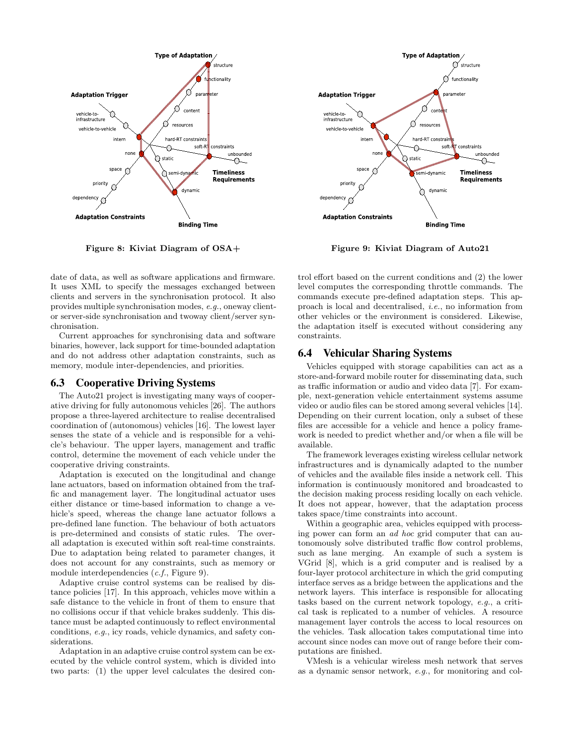

Figure 8: Kiviat Diagram of OSA+

date of data, as well as software applications and firmware. It uses XML to specify the messages exchanged between clients and servers in the synchronisation protocol. It also provides multiple synchronisation modes, e.g., oneway clientor server-side synchronisation and twoway client/server synchronisation.

Current approaches for synchronising data and software binaries, however, lack support for time-bounded adaptation and do not address other adaptation constraints, such as memory, module inter-dependencies, and priorities.

#### **6.3 Cooperative Driving Systems**

The Auto21 project is investigating many ways of cooperative driving for fully autonomous vehicles [26]. The authors propose a three-layered architecture to realise decentralised coordination of (autonomous) vehicles [16]. The lowest layer senses the state of a vehicle and is responsible for a vehicle's behaviour. The upper layers, management and traffic control, determine the movement of each vehicle under the cooperative driving constraints.

Adaptation is executed on the longitudinal and change lane actuators, based on information obtained from the traffic and management layer. The longitudinal actuator uses either distance or time-based information to change a vehicle's speed, whereas the change lane actuator follows a pre-defined lane function. The behaviour of both actuators is pre-determined and consists of static rules. The overall adaptation is executed within soft real-time constraints. Due to adaptation being related to parameter changes, it does not account for any constraints, such as memory or module interdependencies (c.f., Figure 9).

Adaptive cruise control systems can be realised by distance policies [17]. In this approach, vehicles move within a safe distance to the vehicle in front of them to ensure that no collisions occur if that vehicle brakes suddenly. This distance must be adapted continuously to reflect environmental conditions, e.g., icy roads, vehicle dynamics, and safety considerations.

Adaptation in an adaptive cruise control system can be executed by the vehicle control system, which is divided into two parts: (1) the upper level calculates the desired con-



Figure 9: Kiviat Diagram of Auto21

trol effort based on the current conditions and (2) the lower level computes the corresponding throttle commands. The commands execute pre-defined adaptation steps. This approach is local and decentralised, i.e., no information from other vehicles or the environment is considered. Likewise, the adaptation itself is executed without considering any constraints.

#### **6.4 Vehicular Sharing Systems**

Vehicles equipped with storage capabilities can act as a store-and-forward mobile router for disseminating data, such as traffic information or audio and video data [7]. For example, next-generation vehicle entertainment systems assume video or audio files can be stored among several vehicles [14]. Depending on their current location, only a subset of these files are accessible for a vehicle and hence a policy framework is needed to predict whether and/or when a file will be available.

The framework leverages existing wireless cellular network infrastructures and is dynamically adapted to the number of vehicles and the available files inside a network cell. This information is continuously monitored and broadcasted to the decision making process residing locally on each vehicle. It does not appear, however, that the adaptation process takes space/time constraints into account.

Within a geographic area, vehicles equipped with processing power can form an ad hoc grid computer that can autonomously solve distributed traffic flow control problems, such as lane merging. An example of such a system is VGrid [8], which is a grid computer and is realised by a four-layer protocol architecture in which the grid computing interface serves as a bridge between the applications and the network layers. This interface is responsible for allocating tasks based on the current network topology, e.g., a critical task is replicated to a number of vehicles. A resource management layer controls the access to local resources on the vehicles. Task allocation takes computational time into account since nodes can move out of range before their computations are finished.

VMesh is a vehicular wireless mesh network that serves as a dynamic sensor network, e.g., for monitoring and col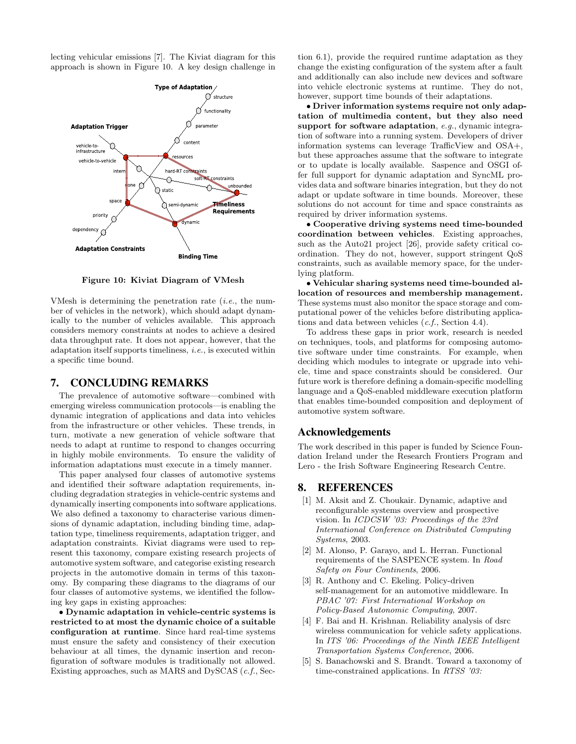lecting vehicular emissions [7]. The Kiviat diagram for this approach is shown in Figure 10. A key design challenge in



Figure 10: Kiviat Diagram of VMesh

VMesh is determining the penetration rate  $(i.e.,$  the number of vehicles in the network), which should adapt dynamically to the number of vehicles available. This approach considers memory constraints at nodes to achieve a desired data throughput rate. It does not appear, however, that the adaptation itself supports timeliness, i.e., is executed within a specific time bound.

#### **7. CONCLUDING REMARKS**

The prevalence of automotive software—combined with emerging wireless communication protocols—is enabling the dynamic integration of applications and data into vehicles from the infrastructure or other vehicles. These trends, in turn, motivate a new generation of vehicle software that needs to adapt at runtime to respond to changes occurring in highly mobile environments. To ensure the validity of information adaptations must execute in a timely manner.

This paper analysed four classes of automotive systems and identified their software adaptation requirements, including degradation strategies in vehicle-centric systems and dynamically inserting components into software applications. We also defined a taxonomy to characterise various dimensions of dynamic adaptation, including binding time, adaptation type, timeliness requirements, adaptation trigger, and adaptation constraints. Kiviat diagrams were used to represent this taxonomy, compare existing research projects of automotive system software, and categorise existing research projects in the automotive domain in terms of this taxonomy. By comparing these diagrams to the diagrams of our four classes of automotive systems, we identified the following key gaps in existing approaches:

• Dynamic adaptation in vehicle-centric systems is restricted to at most the dynamic choice of a suitable configuration at runtime. Since hard real-time systems must ensure the safety and consistency of their execution behaviour at all times, the dynamic insertion and reconfiguration of software modules is traditionally not allowed. Existing approaches, such as MARS and DySCAS (c.f., Section 6.1), provide the required runtime adaptation as they change the existing configuration of the system after a fault and additionally can also include new devices and software into vehicle electronic systems at runtime. They do not, however, support time bounds of their adaptations.

• Driver information systems require not only adaptation of multimedia content, but they also need support for software adaptation, e.g., dynamic integration of software into a running system. Developers of driver information systems can leverage TrafficView and OSA+, but these approaches assume that the software to integrate or to update is locally available. Saspence and OSGI offer full support for dynamic adaptation and SyncML provides data and software binaries integration, but they do not adapt or update software in time bounds. Moreover, these solutions do not account for time and space constraints as required by driver information systems.

• Cooperative driving systems need time-bounded coordination between vehicles. Existing approaches, such as the Auto21 project [26], provide safety critical coordination. They do not, however, support stringent QoS constraints, such as available memory space, for the underlying platform.

• Vehicular sharing systems need time-bounded allocation of resources and membership management. These systems must also monitor the space storage and computational power of the vehicles before distributing applications and data between vehicles (c.f., Section 4.4).

To address these gaps in prior work, research is needed on techniques, tools, and platforms for composing automotive software under time constraints. For example, when deciding which modules to integrate or upgrade into vehicle, time and space constraints should be considered. Our future work is therefore defining a domain-specific modelling language and a QoS-enabled middleware execution platform that enables time-bounded composition and deployment of automotive system software.

# **Acknowledgements**

The work described in this paper is funded by Science Foundation Ireland under the Research Frontiers Program and Lero - the Irish Software Engineering Research Centre.

## **8. REFERENCES**

- [1] M. Aksit and Z. Choukair. Dynamic, adaptive and reconfigurable systems overview and prospective vision. In ICDCSW '03: Proceedings of the 23rd International Conference on Distributed Computing Systems, 2003.
- [2] M. Alonso, P. Garayo, and L. Herran. Functional requirements of the SASPENCE system. In Road Safety on Four Continents, 2006.
- [3] R. Anthony and C. Ekeling. Policy-driven self-management for an automotive middleware. In PBAC '07: First International Workshop on Policy-Based Autonomic Computing, 2007.
- [4] F. Bai and H. Krishnan. Reliability analysis of dsrc wireless communication for vehicle safety applications. In ITS '06: Proceedings of the Ninth IEEE Intelligent Transportation Systems Conference, 2006.
- [5] S. Banachowski and S. Brandt. Toward a taxonomy of time-constrained applications. In RTSS '03: